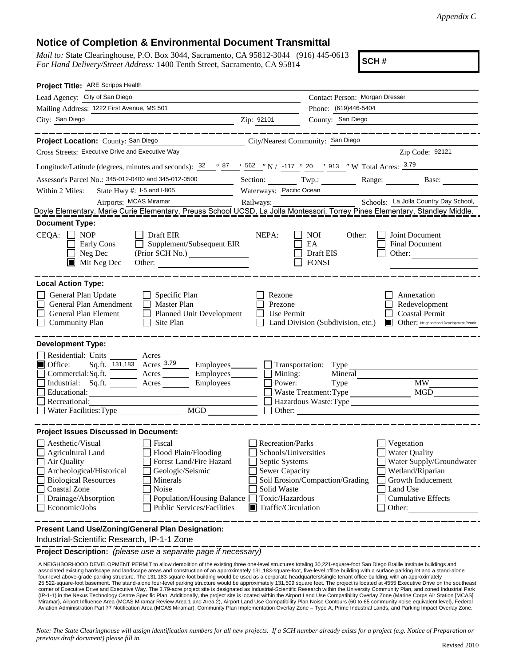## **Notice of Completion & Environmental Document Transmittal**

*Mail to:* State Clearinghouse, P.O. Box 3044, Sacramento, CA 95812-3044 (916) 445-0613 *For Hand Delivery/Street Address:* 1400 Tenth Street, Sacramento, CA 95814

**SCH #**

| Project Title: ARE Scripps Health                                                                                                                                                                                                                                                                                                                              |                                                                                                                                                                    |                                                         |                                                                                                                                                            |
|----------------------------------------------------------------------------------------------------------------------------------------------------------------------------------------------------------------------------------------------------------------------------------------------------------------------------------------------------------------|--------------------------------------------------------------------------------------------------------------------------------------------------------------------|---------------------------------------------------------|------------------------------------------------------------------------------------------------------------------------------------------------------------|
| Lead Agency: City of San Diego                                                                                                                                                                                                                                                                                                                                 |                                                                                                                                                                    | Contact Person: Morgan Dresser                          |                                                                                                                                                            |
| Mailing Address: 1222 First Avenue, MS 501                                                                                                                                                                                                                                                                                                                     |                                                                                                                                                                    | Phone: (619)446-5404                                    |                                                                                                                                                            |
| City: San Diego                                                                                                                                                                                                                                                                                                                                                | Zip: 92101                                                                                                                                                         | County: San Diego                                       |                                                                                                                                                            |
|                                                                                                                                                                                                                                                                                                                                                                |                                                                                                                                                                    |                                                         |                                                                                                                                                            |
| Project Location: County: San Diego                                                                                                                                                                                                                                                                                                                            | City/Nearest Community: San Diego                                                                                                                                  |                                                         |                                                                                                                                                            |
| Cross Streets: Executive Drive and Executive Way                                                                                                                                                                                                                                                                                                               |                                                                                                                                                                    |                                                         | Zip Code: 92121                                                                                                                                            |
| Longitude/Latitude (degrees, minutes and seconds): $\frac{32}{ }$ $\frac{87}{ }$ $\frac{1562}{ }$ N / -117 $\degree$ 20 $\degree$ 913 " W Total Acres: $\frac{3.79}{ }$                                                                                                                                                                                        |                                                                                                                                                                    |                                                         |                                                                                                                                                            |
| Assessor's Parcel No.: 345-012-0400 and 345-012-0500                                                                                                                                                                                                                                                                                                           | Section: Twp.:                                                                                                                                                     |                                                         | Range: $\qquad \qquad$<br>Base:                                                                                                                            |
| State Hwy #: $1-5$ and $1-805$<br>Within 2 Miles:                                                                                                                                                                                                                                                                                                              | Waterways: Pacific Ocean                                                                                                                                           |                                                         |                                                                                                                                                            |
|                                                                                                                                                                                                                                                                                                                                                                |                                                                                                                                                                    |                                                         |                                                                                                                                                            |
|                                                                                                                                                                                                                                                                                                                                                                |                                                                                                                                                                    |                                                         |                                                                                                                                                            |
| <b>Document Type:</b>                                                                                                                                                                                                                                                                                                                                          |                                                                                                                                                                    |                                                         |                                                                                                                                                            |
| $CEQA: \Box NP$<br>Draft EIR<br>Supplement/Subsequent EIR<br>Early Cons<br>Neg Dec<br>$\blacksquare$ Mit Neg Dec<br>Other:                                                                                                                                                                                                                                     | NEPA:                                                                                                                                                              | <b>NOI</b><br>Other:<br>EA<br>Draft EIS<br><b>FONSI</b> | Joint Document<br><b>Final Document</b><br>Other: $\qquad \qquad$                                                                                          |
| <b>Local Action Type:</b>                                                                                                                                                                                                                                                                                                                                      |                                                                                                                                                                    |                                                         |                                                                                                                                                            |
| General Plan Update<br>$\Box$ Specific Plan<br>General Plan Amendment<br>$\Box$ Master Plan<br>Planned Unit Development<br>General Plan Element<br><b>Community Plan</b><br>$\Box$ Site Plan                                                                                                                                                                   | Rezone<br>Prezone<br>Use Permit                                                                                                                                    | Land Division (Subdivision, etc.)                       | Annexation<br>Redevelopment<br><b>Coastal Permit</b><br>Other: Neighborhood Development Permit                                                             |
| <b>Development Type:</b>                                                                                                                                                                                                                                                                                                                                       |                                                                                                                                                                    |                                                         |                                                                                                                                                            |
| Residential: Units Acres<br>Sq.ft. 131,183 Acres 3.79<br>Office:<br>$Commercial:Sq.fit.$ $\overline{\qquad}$ Acres $\overline{\qquad}$ Employees $\overline{\qquad}$ Mining:<br>Industrial: Sq.ft. _______ Acres _______ Employees ______ $\square$<br>Educational:<br>Recreational:<br>MGD<br>Water Facilities: Type                                          | $\Box$ Employees $\Box$ Transportation: Type<br>Power:                                                                                                             | $Type \_$<br>Waste Treatment: Type<br>Other:            | <b>MW</b><br>MGD<br>Hazardous Waste:Type                                                                                                                   |
| <b>Project Issues Discussed in Document:</b>                                                                                                                                                                                                                                                                                                                   |                                                                                                                                                                    |                                                         |                                                                                                                                                            |
| Aesthetic/Visual<br>Fiscal<br><b>Agricultural Land</b><br>Flood Plain/Flooding<br>Forest Land/Fire Hazard<br>Air Quality<br>Archeological/Historical<br>Geologic/Seismic<br><b>Biological Resources</b><br>Minerals<br><b>Coastal Zone</b><br>Noise<br>Drainage/Absorption<br>Population/Housing Balance<br>Economic/Jobs<br><b>Public Services/Facilities</b> | <b>Recreation/Parks</b><br>Schools/Universities<br>Septic Systems<br><b>Sewer Capacity</b><br>Solid Waste<br>Toxic/Hazardous<br>$\blacksquare$ Traffic/Circulation | Soil Erosion/Compaction/Grading                         | Vegetation<br><b>Water Quality</b><br>Water Supply/Groundwater<br>Wetland/Riparian<br>Growth Inducement<br>Land Use<br><b>Cumulative Effects</b><br>Other: |
| Present Land Use/Zoning/General Plan Designation:<br>Industrial-Scientific Research, IP-1-1 Zone                                                                                                                                                                                                                                                               |                                                                                                                                                                    |                                                         |                                                                                                                                                            |

**Project Description:** *(please use a separate page if necessary)*

A NEIGHBORHOOD DEVELOPMENT PERMIT to allow demolition of the existing three one-level structures totaling 30,221-square-foot San Diego Braille Institute buildings and<br>associated existing hardscape and landscape areas and c four-level above-grade parking structure. The 131,183-square-foot building would be used as a corporate headquarters/single tenant office building, with an approximately 25,522-square-foot basement. The stand-alone four-level parking structure would be approximately 131,509 square feet. The project is located at 4555 Executive Drive on the southeast corner of Executive Drive and Executive Way. The 3.79-acre project site is designated as Industrial-Scientific Research within the University Community Plan, and zoned Industrial Park<br>(IP-1-1) in the Nexus Technology Centr Miramar), Airport Influence Area (MCAS Miramar Review Area 1 and Area 2), Airport Land Use Compatibility Plan Noise Contours (60 to 65 community noise equivalent level), Federal Aviation Administration Part 77 Notification Area (MCAS Miramar), Community Plan Implementation Overlay Zone – Type A, Prime Industrial Lands, and Parking Impact Overlay Zone.

*Note: The State Clearinghouse will assign identification numbers for all new projects. If a SCH number already exists for a project (e.g. Notice of Preparation or previous draft document) please fill in.*